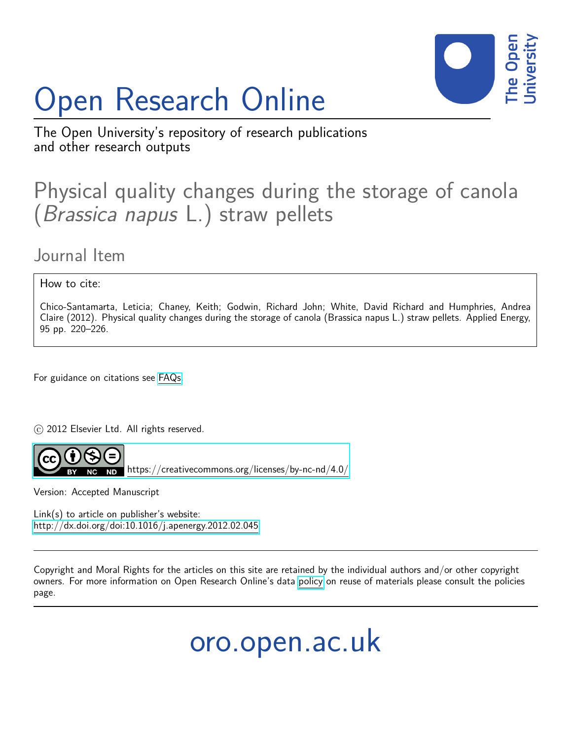# Open Research Online



The Open University's repository of research publications and other research outputs

# Physical quality changes during the storage of canola (Brassica napus L.) straw pellets

Journal Item

How to cite:

Chico-Santamarta, Leticia; Chaney, Keith; Godwin, Richard John; White, David Richard and Humphries, Andrea Claire (2012). Physical quality changes during the storage of canola (Brassica napus L.) straw pellets. Applied Energy, 95 pp. 220–226.

For guidance on citations see [FAQs.](http://oro.open.ac.uk/help/helpfaq.html)

 $\odot$  2012 Elsevier Ltd. All rights reserved.



<https://creativecommons.org/licenses/by-nc-nd/4.0/>

Version: Accepted Manuscript

Link(s) to article on publisher's website: <http://dx.doi.org/doi:10.1016/j.apenergy.2012.02.045>

Copyright and Moral Rights for the articles on this site are retained by the individual authors and/or other copyright owners. For more information on Open Research Online's data [policy](http://oro.open.ac.uk/policies.html) on reuse of materials please consult the policies page.

oro.open.ac.uk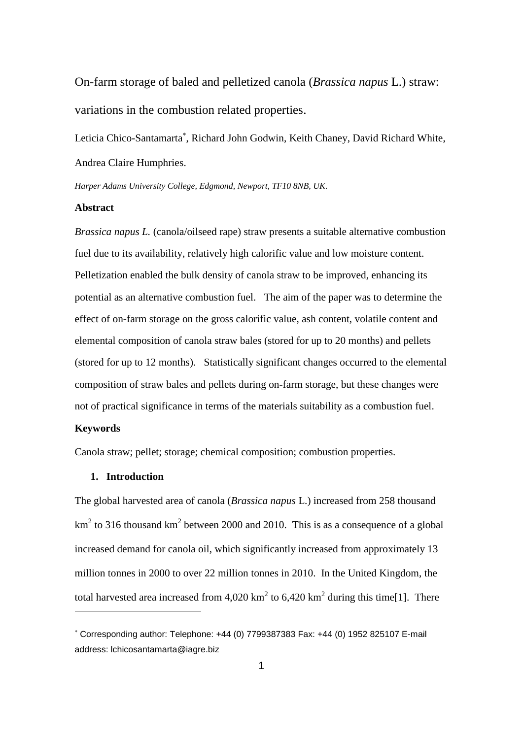On-farm storage of baled and pelletized canola (*Brassica napus* L.) straw: variations in the combustion related properties.

Leticia Chico-Santamarta , Richard John Godwin, Keith Chaney, David Richard White, Andrea Claire Humphries.

*Harper Adams University College, Edgmond, Newport, TF10 8NB, UK.*

# **Abstract**

*Brassica napus L.* (canola/oilseed rape) straw presents a suitable alternative combustion fuel due to its availability, relatively high calorific value and low moisture content. Pelletization enabled the bulk density of canola straw to be improved, enhancing its potential as an alternative combustion fuel. The aim of the paper was to determine the effect of on-farm storage on the gross calorific value, ash content, volatile content and elemental composition of canola straw bales (stored for up to 20 months) and pellets (stored for up to 12 months). Statistically significant changes occurred to the elemental composition of straw bales and pellets during on-farm storage, but these changes were not of practical significance in terms of the materials suitability as a combustion fuel.

#### **Keywords**

1

Canola straw; pellet; storage; chemical composition; combustion properties.

# **1. Introduction**

The global harvested area of canola (*Brassica napus* L.) increased from 258 thousand km<sup>2</sup> to 316 thousand km<sup>2</sup> between 2000 and 2010. This is as a consequence of a global increased demand for canola oil, which significantly increased from approximately 13 million tonnes in 2000 to over 22 million tonnes in 2010. In the United Kingdom, the total harvested area increased from 4,020 km<sup>2</sup> to 6,420 km<sup>2</sup> during this time[1]. There

Corresponding author: Telephone: +44 (0) 7799387383 Fax: +44 (0) 1952 825107 E-mail address: lchicosantamarta@iagre.biz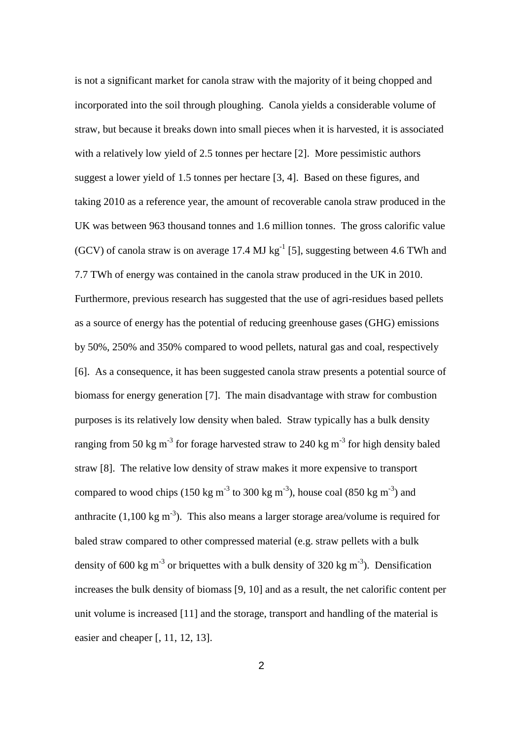is not a significant market for canola straw with the majority of it being chopped and incorporated into the soil through ploughing. Canola yields a considerable volume of straw, but because it breaks down into small pieces when it is harvested, it is associated with a relatively low yield of 2.5 tonnes per hectare [2]. More pessimistic authors suggest a lower yield of 1.5 tonnes per hectare [3, 4]. Based on these figures, and taking 2010 as a reference year, the amount of recoverable canola straw produced in the UK was between 963 thousand tonnes and 1.6 million tonnes. The gross calorific value (GCV) of canola straw is on average 17.4 MJ  $kg^{-1}$  [5], suggesting between 4.6 TWh and 7.7 TWh of energy was contained in the canola straw produced in the UK in 2010. Furthermore, previous research has suggested that the use of agri-residues based pellets as a source of energy has the potential of reducing greenhouse gases (GHG) emissions by 50%, 250% and 350% compared to wood pellets, natural gas and coal, respectively [6]. As a consequence, it has been suggested canola straw presents a potential source of biomass for energy generation [7]. The main disadvantage with straw for combustion purposes is its relatively low density when baled. Straw typically has a bulk density ranging from 50 kg m<sup>-3</sup> for forage harvested straw to 240 kg m<sup>-3</sup> for high density baled straw [8]. The relative low density of straw makes it more expensive to transport compared to wood chips (150 kg m<sup>-3</sup> to 300 kg m<sup>-3</sup>), house coal (850 kg m<sup>-3</sup>) and anthracite  $(1,100 \text{ kg m}^{-3})$ . This also means a larger storage area/volume is required for baled straw compared to other compressed material (e.g. straw pellets with a bulk density of 600 kg m<sup>-3</sup> or briquettes with a bulk density of 320 kg m<sup>-3</sup>). Densification increases the bulk density of biomass [9, 10] and as a result, the net calorific content per unit volume is increased [11] and the storage, transport and handling of the material is easier and cheaper [, 11, 12, 13].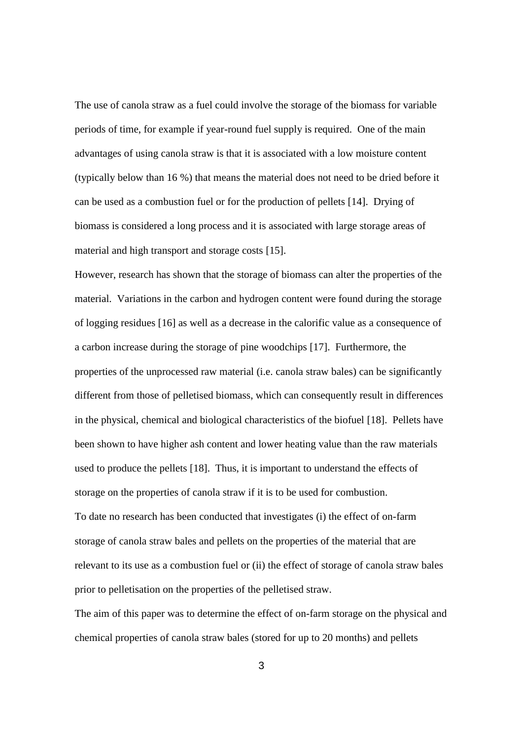The use of canola straw as a fuel could involve the storage of the biomass for variable periods of time, for example if year-round fuel supply is required. One of the main advantages of using canola straw is that it is associated with a low moisture content (typically below than 16 %) that means the material does not need to be dried before it can be used as a combustion fuel or for the production of pellets [14]. Drying of biomass is considered a long process and it is associated with large storage areas of material and high transport and storage costs [15].

However, research has shown that the storage of biomass can alter the properties of the material. Variations in the carbon and hydrogen content were found during the storage of logging residues [16] as well as a decrease in the calorific value as a consequence of a carbon increase during the storage of pine woodchips [17]. Furthermore, the properties of the unprocessed raw material (i.e. canola straw bales) can be significantly different from those of pelletised biomass, which can consequently result in differences in the physical, chemical and biological characteristics of the biofuel [18]. Pellets have been shown to have higher ash content and lower heating value than the raw materials used to produce the pellets [18]. Thus, it is important to understand the effects of storage on the properties of canola straw if it is to be used for combustion.

To date no research has been conducted that investigates (i) the effect of on-farm storage of canola straw bales and pellets on the properties of the material that are relevant to its use as a combustion fuel or (ii) the effect of storage of canola straw bales prior to pelletisation on the properties of the pelletised straw.

The aim of this paper was to determine the effect of on-farm storage on the physical and chemical properties of canola straw bales (stored for up to 20 months) and pellets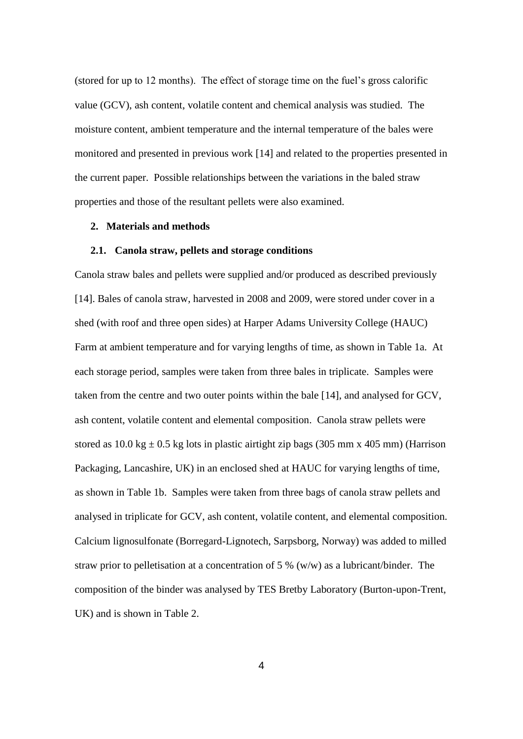(stored for up to 12 months). The effect of storage time on the fuel's gross calorific value (GCV), ash content, volatile content and chemical analysis was studied. The moisture content, ambient temperature and the internal temperature of the bales were monitored and presented in previous work [14] and related to the properties presented in the current paper. Possible relationships between the variations in the baled straw properties and those of the resultant pellets were also examined.

# **2. Materials and methods**

#### **2.1. Canola straw, pellets and storage conditions**

Canola straw bales and pellets were supplied and/or produced as described previously [14]. Bales of canola straw, harvested in 2008 and 2009, were stored under cover in a shed (with roof and three open sides) at Harper Adams University College (HAUC) Farm at ambient temperature and for varying lengths of time, as shown in Table 1a. At each storage period, samples were taken from three bales in triplicate. Samples were taken from the centre and two outer points within the bale [14], and analysed for GCV, ash content, volatile content and elemental composition. Canola straw pellets were stored as  $10.0 \text{ kg} \pm 0.5 \text{ kg}$  lots in plastic airtight zip bags (305 mm x 405 mm) (Harrison Packaging, Lancashire, UK) in an enclosed shed at HAUC for varying lengths of time, as shown in Table 1b. Samples were taken from three bags of canola straw pellets and analysed in triplicate for GCV, ash content, volatile content, and elemental composition. Calcium lignosulfonate (Borregard-Lignotech, Sarpsborg, Norway) was added to milled straw prior to pelletisation at a concentration of 5 % (w/w) as a lubricant/binder. The composition of the binder was analysed by TES Bretby Laboratory (Burton-upon-Trent, UK) and is shown in Table 2.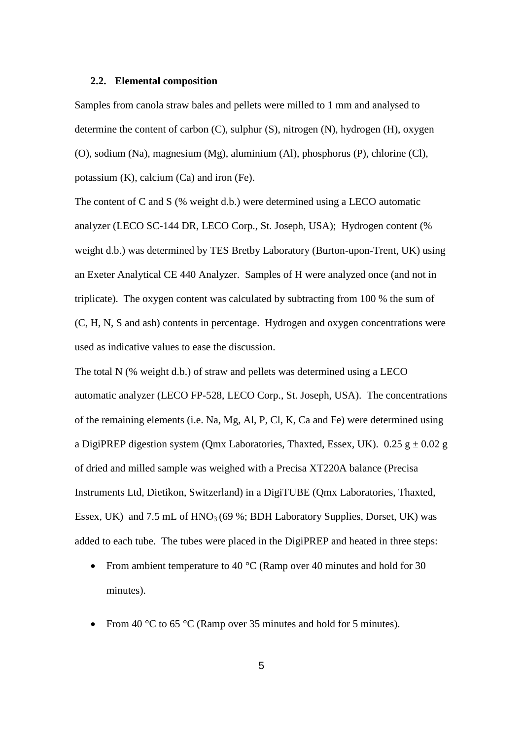#### **2.2. Elemental composition**

Samples from canola straw bales and pellets were milled to 1 mm and analysed to determine the content of carbon (C), sulphur (S), nitrogen (N), hydrogen (H), oxygen (O), sodium (Na), magnesium (Mg), aluminium (Al), phosphorus (P), chlorine (Cl), potassium (K), calcium (Ca) and iron (Fe).

The content of C and S (% weight d.b.) were determined using a LECO automatic analyzer (LECO SC-144 DR, LECO Corp., St. Joseph, USA); Hydrogen content (% weight d.b.) was determined by TES Bretby Laboratory (Burton-upon-Trent, UK) using an Exeter Analytical CE 440 Analyzer. Samples of H were analyzed once (and not in triplicate). The oxygen content was calculated by subtracting from 100 % the sum of (C, H, N, S and ash) contents in percentage. Hydrogen and oxygen concentrations were used as indicative values to ease the discussion.

The total N (% weight d.b.) of straw and pellets was determined using a LECO automatic analyzer (LECO FP-528, LECO Corp., St. Joseph, USA). The concentrations of the remaining elements (i.e. Na, Mg, Al, P, Cl, K, Ca and Fe) were determined using a DigiPREP digestion system (Qmx Laboratories, Thaxted, Essex, UK).  $0.25$  g  $\pm 0.02$  g of dried and milled sample was weighed with a Precisa XT220A balance (Precisa Instruments Ltd, Dietikon, Switzerland) in a DigiTUBE (Qmx Laboratories, Thaxted, Essex, UK) and 7.5 mL of  $HNO<sub>3</sub>(69\%; BDH Laboratory Supplies, Dorset, UK)$  was added to each tube. The tubes were placed in the DigiPREP and heated in three steps:

- From ambient temperature to 40  $^{\circ}$ C (Ramp over 40 minutes and hold for 30 minutes).
- From 40 °C to 65 °C (Ramp over 35 minutes and hold for 5 minutes).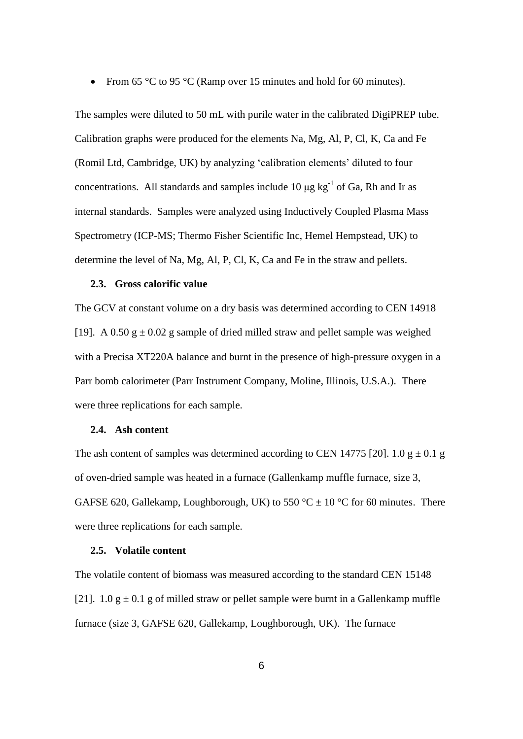From 65 °C to 95 °C (Ramp over 15 minutes and hold for 60 minutes).

The samples were diluted to 50 mL with purile water in the calibrated DigiPREP tube. Calibration graphs were produced for the elements Na, Mg, Al, P, Cl, K, Ca and Fe (Romil Ltd, Cambridge, UK) by analyzing 'calibration elements' diluted to four concentrations. All standards and samples include 10  $\mu$ g kg<sup>-1</sup> of Ga, Rh and Ir as internal standards. Samples were analyzed using Inductively Coupled Plasma Mass Spectrometry (ICP-MS; Thermo Fisher Scientific Inc, Hemel Hempstead, UK) to determine the level of Na, Mg, Al, P, Cl, K, Ca and Fe in the straw and pellets.

# **2.3. Gross calorific value**

The GCV at constant volume on a dry basis was determined according to CEN 14918 [19]. A 0.50  $g \pm 0.02$  g sample of dried milled straw and pellet sample was weighed with a Precisa XT220A balance and burnt in the presence of high-pressure oxygen in a Parr bomb calorimeter (Parr Instrument Company, Moline, Illinois, U.S.A.). There were three replications for each sample.

#### **2.4. Ash content**

The ash content of samples was determined according to CEN 14775 [20]. 1.0  $g \pm 0.1$  g of oven-dried sample was heated in a furnace (Gallenkamp muffle furnace, size 3, GAFSE 620, Gallekamp, Loughborough, UK) to 550 °C  $\pm$  10 °C for 60 minutes. There were three replications for each sample.

#### **2.5. Volatile content**

The volatile content of biomass was measured according to the standard CEN 15148 [21]. 1.0  $g \pm 0.1$  g of milled straw or pellet sample were burnt in a Gallenkamp muffle furnace (size 3, GAFSE 620, Gallekamp, Loughborough, UK). The furnace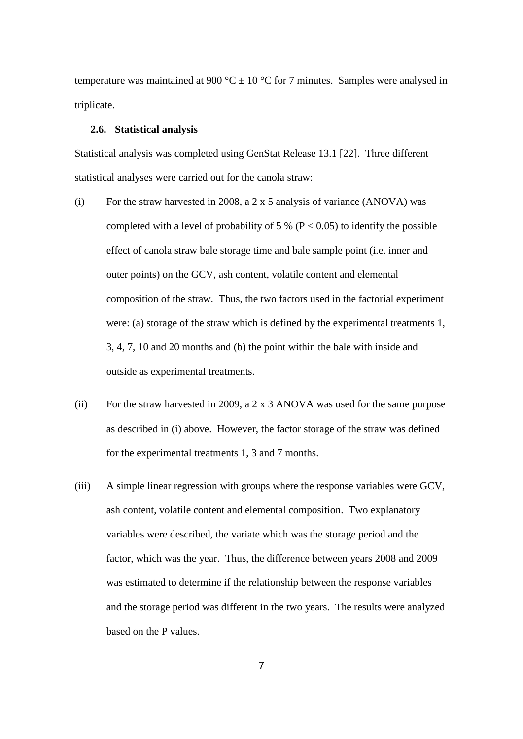temperature was maintained at 900 °C  $\pm$  10 °C for 7 minutes. Samples were analysed in triplicate.

# **2.6. Statistical analysis**

Statistical analysis was completed using GenStat Release 13.1 [22]. Three different statistical analyses were carried out for the canola straw:

- (i) For the straw harvested in 2008, a 2 x 5 analysis of variance (ANOVA) was completed with a level of probability of 5 % ( $P < 0.05$ ) to identify the possible effect of canola straw bale storage time and bale sample point (i.e. inner and outer points) on the GCV, ash content, volatile content and elemental composition of the straw. Thus, the two factors used in the factorial experiment were: (a) storage of the straw which is defined by the experimental treatments 1, 3, 4, 7, 10 and 20 months and (b) the point within the bale with inside and outside as experimental treatments.
- (ii) For the straw harvested in 2009, a 2 x 3 ANOVA was used for the same purpose as described in (i) above. However, the factor storage of the straw was defined for the experimental treatments 1, 3 and 7 months.
- (iii) A simple linear regression with groups where the response variables were GCV, ash content, volatile content and elemental composition. Two explanatory variables were described, the variate which was the storage period and the factor, which was the year. Thus, the difference between years 2008 and 2009 was estimated to determine if the relationship between the response variables and the storage period was different in the two years. The results were analyzed based on the P values.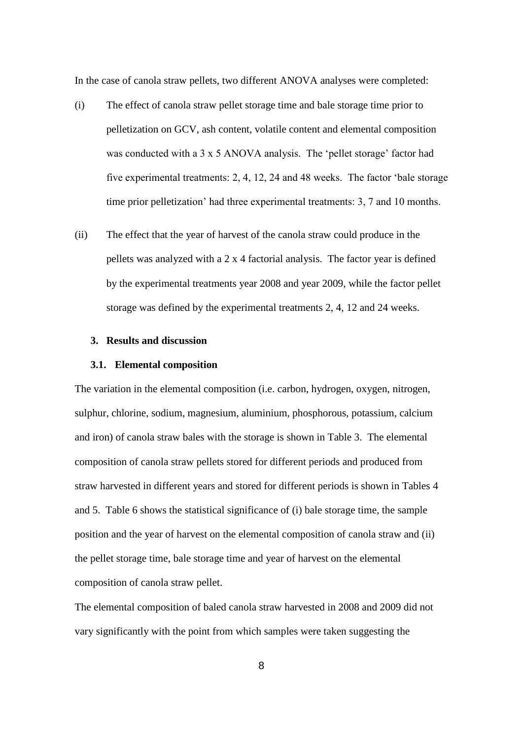In the case of canola straw pellets, two different ANOVA analyses were completed:

- (i) The effect of canola straw pellet storage time and bale storage time prior to pelletization on GCV, ash content, volatile content and elemental composition was conducted with a 3 x 5 ANOVA analysis. The 'pellet storage' factor had five experimental treatments: 2, 4, 12, 24 and 48 weeks. The factor 'bale storage time prior pelletization' had three experimental treatments: 3, 7 and 10 months.
- (ii) The effect that the year of harvest of the canola straw could produce in the pellets was analyzed with a 2 x 4 factorial analysis. The factor year is defined by the experimental treatments year 2008 and year 2009, while the factor pellet storage was defined by the experimental treatments 2, 4, 12 and 24 weeks.

# **3. Results and discussion**

#### **3.1. Elemental composition**

The variation in the elemental composition (i.e. carbon, hydrogen, oxygen, nitrogen, sulphur, chlorine, sodium, magnesium, aluminium, phosphorous, potassium, calcium and iron) of canola straw bales with the storage is shown in Table 3. The elemental composition of canola straw pellets stored for different periods and produced from straw harvested in different years and stored for different periods is shown in Tables 4 and 5. Table 6 shows the statistical significance of (i) bale storage time, the sample position and the year of harvest on the elemental composition of canola straw and (ii) the pellet storage time, bale storage time and year of harvest on the elemental composition of canola straw pellet.

The elemental composition of baled canola straw harvested in 2008 and 2009 did not vary significantly with the point from which samples were taken suggesting the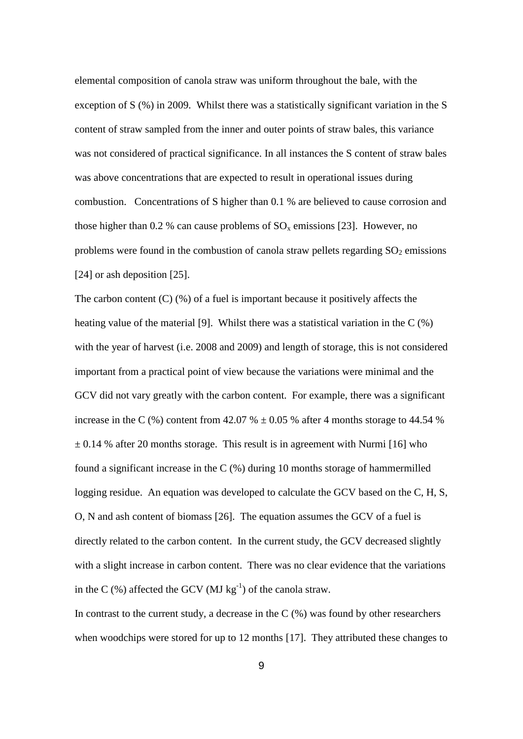elemental composition of canola straw was uniform throughout the bale, with the exception of S (%) in 2009. Whilst there was a statistically significant variation in the S content of straw sampled from the inner and outer points of straw bales, this variance was not considered of practical significance. In all instances the S content of straw bales was above concentrations that are expected to result in operational issues during combustion. Concentrations of S higher than 0.1 % are believed to cause corrosion and those higher than 0.2 % can cause problems of  $SO_x$  emissions [23]. However, no problems were found in the combustion of canola straw pellets regarding  $SO_2$  emissions [24] or ash deposition [25].

The carbon content  $(C)$  (%) of a fuel is important because it positively affects the heating value of the material [9]. Whilst there was a statistical variation in the C (%) with the year of harvest (i.e. 2008 and 2009) and length of storage, this is not considered important from a practical point of view because the variations were minimal and the GCV did not vary greatly with the carbon content. For example, there was a significant increase in the C  $(\%)$  content from 42.07 %  $\pm$  0.05 % after 4 months storage to 44.54 %  $\pm$  0.14 % after 20 months storage. This result is in agreement with Nurmi [16] who found a significant increase in the C (%) during 10 months storage of hammermilled logging residue. An equation was developed to calculate the GCV based on the C, H, S, O, N and ash content of biomass [26]. The equation assumes the GCV of a fuel is directly related to the carbon content. In the current study, the GCV decreased slightly with a slight increase in carbon content. There was no clear evidence that the variations in the C  $(\%)$  affected the GCV (MJ kg<sup>-1</sup>) of the canola straw.

In contrast to the current study, a decrease in the  $C$  (%) was found by other researchers when woodchips were stored for up to 12 months [17]. They attributed these changes to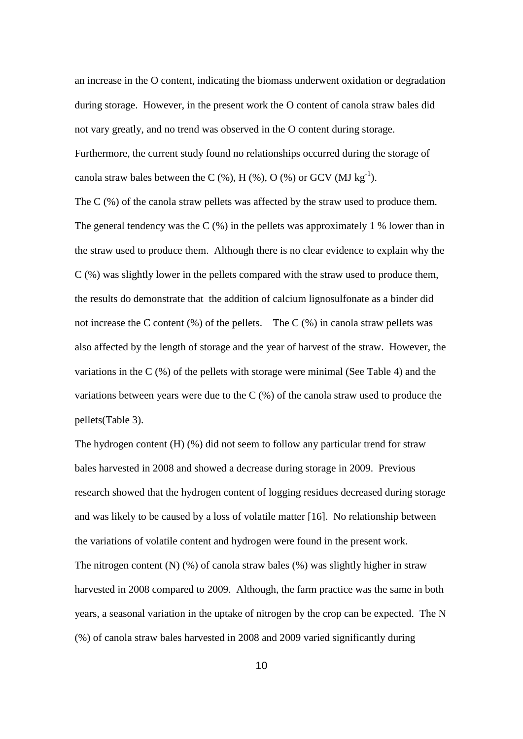an increase in the O content, indicating the biomass underwent oxidation or degradation during storage. However, in the present work the O content of canola straw bales did not vary greatly, and no trend was observed in the O content during storage. Furthermore, the current study found no relationships occurred during the storage of canola straw bales between the C  $(\%)$ , H  $(\%)$ , O  $(\%)$  or GCV (MJ kg<sup>-1</sup>).

The C (%) of the canola straw pellets was affected by the straw used to produce them. The general tendency was the C  $(\%)$  in the pellets was approximately 1 % lower than in the straw used to produce them. Although there is no clear evidence to explain why the C (%) was slightly lower in the pellets compared with the straw used to produce them, the results do demonstrate that the addition of calcium lignosulfonate as a binder did not increase the C content  $(\%)$  of the pellets. The C  $(\%)$  in canola straw pellets was also affected by the length of storage and the year of harvest of the straw. However, the variations in the C (%) of the pellets with storage were minimal (See Table 4) and the variations between years were due to the C (%) of the canola straw used to produce the pellets(Table 3).

The hydrogen content (H) (%) did not seem to follow any particular trend for straw bales harvested in 2008 and showed a decrease during storage in 2009. Previous research showed that the hydrogen content of logging residues decreased during storage and was likely to be caused by a loss of volatile matter [16]. No relationship between the variations of volatile content and hydrogen were found in the present work. The nitrogen content  $(N)$  (%) of canola straw bales (%) was slightly higher in straw harvested in 2008 compared to 2009. Although, the farm practice was the same in both years, a seasonal variation in the uptake of nitrogen by the crop can be expected. The N (%) of canola straw bales harvested in 2008 and 2009 varied significantly during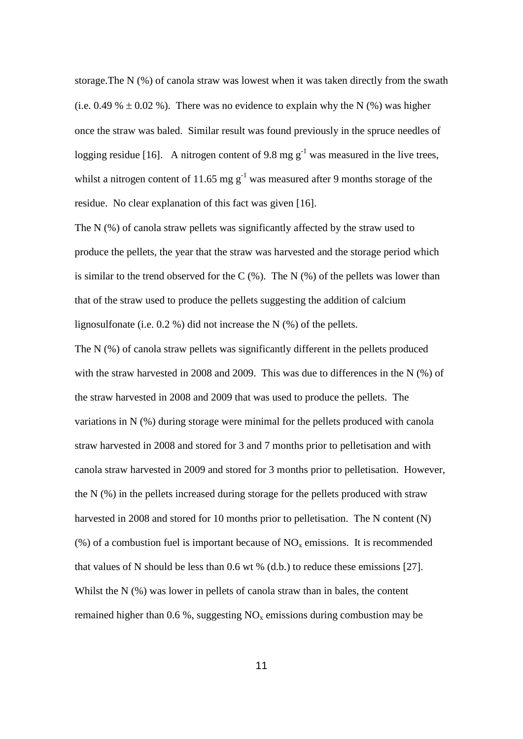storage.The N (%) of canola straw was lowest when it was taken directly from the swath (i.e. 0.49 %  $\pm$  0.02 %). There was no evidence to explain why the N (%) was higher once the straw was baled. Similar result was found previously in the spruce needles of logging residue [16]. A nitrogen content of 9.8 mg  $g^{-1}$  was measured in the live trees, whilst a nitrogen content of 11.65 mg  $g^{-1}$  was measured after 9 months storage of the residue. No clear explanation of this fact was given [16].

The N (%) of canola straw pellets was significantly affected by the straw used to produce the pellets, the year that the straw was harvested and the storage period which is similar to the trend observed for the  $C$  (%). The N (%) of the pellets was lower than that of the straw used to produce the pellets suggesting the addition of calcium lignosulfonate (i.e. 0.2 %) did not increase the N (%) of the pellets.

The N (%) of canola straw pellets was significantly different in the pellets produced with the straw harvested in 2008 and 2009. This was due to differences in the N (%) of the straw harvested in 2008 and 2009 that was used to produce the pellets. The variations in N (%) during storage were minimal for the pellets produced with canola straw harvested in 2008 and stored for 3 and 7 months prior to pelletisation and with canola straw harvested in 2009 and stored for 3 months prior to pelletisation. However, the N (%) in the pellets increased during storage for the pellets produced with straw harvested in 2008 and stored for 10 months prior to pelletisation. The N content (N) (%) of a combustion fuel is important because of  $NO<sub>x</sub>$  emissions. It is recommended that values of N should be less than 0.6 wt % (d.b.) to reduce these emissions [27]. Whilst the N (%) was lower in pellets of canola straw than in bales, the content remained higher than 0.6 %, suggesting  $NO<sub>x</sub>$  emissions during combustion may be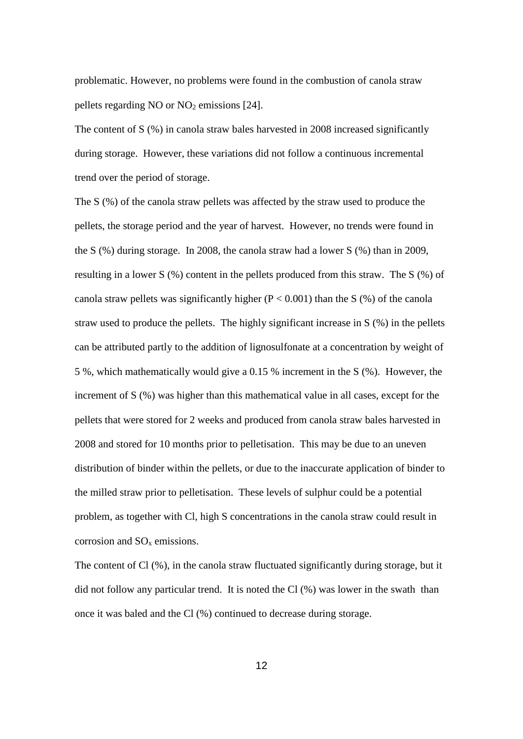problematic. However, no problems were found in the combustion of canola straw pellets regarding NO or  $NO<sub>2</sub>$  emissions [24].

The content of S (%) in canola straw bales harvested in 2008 increased significantly during storage. However, these variations did not follow a continuous incremental trend over the period of storage.

The S (%) of the canola straw pellets was affected by the straw used to produce the pellets, the storage period and the year of harvest. However, no trends were found in the S (%) during storage. In 2008, the canola straw had a lower S (%) than in 2009, resulting in a lower S (%) content in the pellets produced from this straw. The S (%) of canola straw pellets was significantly higher ( $P < 0.001$ ) than the S (%) of the canola straw used to produce the pellets. The highly significant increase in S (%) in the pellets can be attributed partly to the addition of lignosulfonate at a concentration by weight of 5 %, which mathematically would give a 0.15 % increment in the S (%). However, the increment of S (%) was higher than this mathematical value in all cases, except for the pellets that were stored for 2 weeks and produced from canola straw bales harvested in 2008 and stored for 10 months prior to pelletisation. This may be due to an uneven distribution of binder within the pellets, or due to the inaccurate application of binder to the milled straw prior to pelletisation. These levels of sulphur could be a potential problem, as together with Cl, high S concentrations in the canola straw could result in corrosion and  $SO<sub>x</sub>$  emissions.

The content of Cl (%), in the canola straw fluctuated significantly during storage, but it did not follow any particular trend. It is noted the Cl (%) was lower in the swath than once it was baled and the Cl (%) continued to decrease during storage.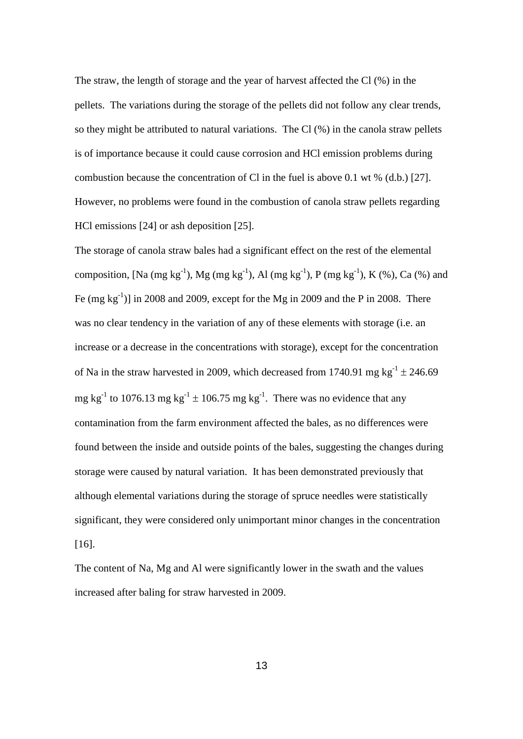The straw, the length of storage and the year of harvest affected the Cl (%) in the pellets. The variations during the storage of the pellets did not follow any clear trends, so they might be attributed to natural variations. The Cl (%) in the canola straw pellets is of importance because it could cause corrosion and HCl emission problems during combustion because the concentration of Cl in the fuel is above 0.1 wt % (d.b.) [27]. However, no problems were found in the combustion of canola straw pellets regarding HCl emissions [24] or ash deposition [25].

The storage of canola straw bales had a significant effect on the rest of the elemental composition, [Na (mg kg<sup>-1</sup>), Mg (mg kg<sup>-1</sup>), Al (mg kg<sup>-1</sup>), P (mg kg<sup>-1</sup>), K (%), Ca (%) and Fe  $(mg kg<sup>-1</sup>)$ ] in 2008 and 2009, except for the Mg in 2009 and the P in 2008. There was no clear tendency in the variation of any of these elements with storage (i.e. an increase or a decrease in the concentrations with storage), except for the concentration of Na in the straw harvested in 2009, which decreased from 1740.91 mg  $kg^{-1} \pm 246.69$ mg kg<sup>-1</sup> to 1076.13 mg kg<sup>-1</sup>  $\pm$  106.75 mg kg<sup>-1</sup>. There was no evidence that any contamination from the farm environment affected the bales, as no differences were found between the inside and outside points of the bales, suggesting the changes during storage were caused by natural variation. It has been demonstrated previously that although elemental variations during the storage of spruce needles were statistically significant, they were considered only unimportant minor changes in the concentration [16].

The content of Na, Mg and Al were significantly lower in the swath and the values increased after baling for straw harvested in 2009.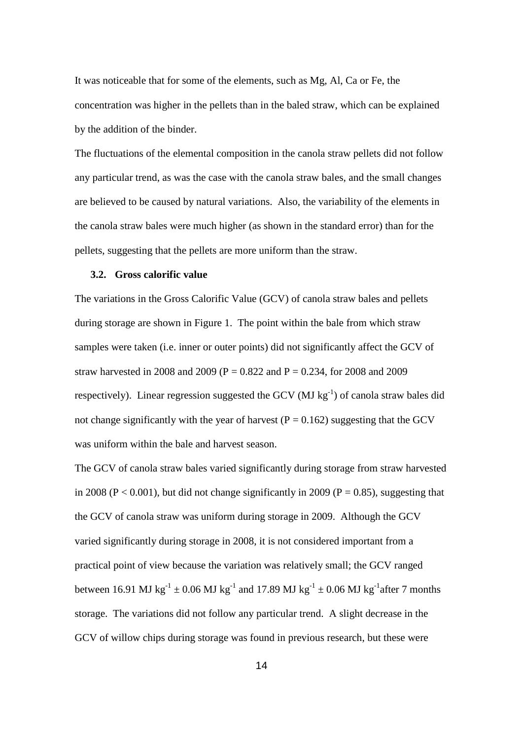It was noticeable that for some of the elements, such as Mg, Al, Ca or Fe, the concentration was higher in the pellets than in the baled straw, which can be explained by the addition of the binder.

The fluctuations of the elemental composition in the canola straw pellets did not follow any particular trend, as was the case with the canola straw bales, and the small changes are believed to be caused by natural variations. Also, the variability of the elements in the canola straw bales were much higher (as shown in the standard error) than for the pellets, suggesting that the pellets are more uniform than the straw.

#### **3.2. Gross calorific value**

The variations in the Gross Calorific Value (GCV) of canola straw bales and pellets during storage are shown in Figure 1. The point within the bale from which straw samples were taken (i.e. inner or outer points) did not significantly affect the GCV of straw harvested in 2008 and 2009 ( $P = 0.822$  and  $P = 0.234$ , for 2008 and 2009 respectively). Linear regression suggested the GCV (MJ  $kg^{-1}$ ) of canola straw bales did not change significantly with the year of harvest ( $P = 0.162$ ) suggesting that the GCV was uniform within the bale and harvest season.

The GCV of canola straw bales varied significantly during storage from straw harvested in 2008 ( $P < 0.001$ ), but did not change significantly in 2009 ( $P = 0.85$ ), suggesting that the GCV of canola straw was uniform during storage in 2009. Although the GCV varied significantly during storage in 2008, it is not considered important from a practical point of view because the variation was relatively small; the GCV ranged between 16.91 MJ kg<sup>-1</sup>  $\pm$  0.06 MJ kg<sup>-1</sup> and 17.89 MJ kg<sup>-1</sup>  $\pm$  0.06 MJ kg<sup>-1</sup> after 7 months storage. The variations did not follow any particular trend. A slight decrease in the GCV of willow chips during storage was found in previous research, but these were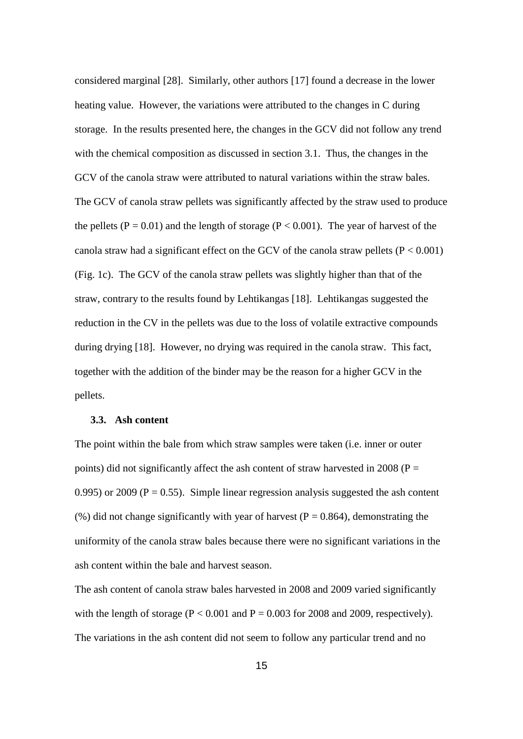considered marginal [28]. Similarly, other authors [17] found a decrease in the lower heating value. However, the variations were attributed to the changes in C during storage. In the results presented here, the changes in the GCV did not follow any trend with the chemical composition as discussed in section 3.1. Thus, the changes in the GCV of the canola straw were attributed to natural variations within the straw bales. The GCV of canola straw pellets was significantly affected by the straw used to produce the pellets ( $P = 0.01$ ) and the length of storage ( $P < 0.001$ ). The year of harvest of the canola straw had a significant effect on the GCV of the canola straw pellets  $(P < 0.001)$ (Fig. 1c). The GCV of the canola straw pellets was slightly higher than that of the straw, contrary to the results found by Lehtikangas [18]. Lehtikangas suggested the reduction in the CV in the pellets was due to the loss of volatile extractive compounds during drying [18]. However, no drying was required in the canola straw. This fact, together with the addition of the binder may be the reason for a higher GCV in the pellets.

# **3.3. Ash content**

The point within the bale from which straw samples were taken (i.e. inner or outer points) did not significantly affect the ash content of straw harvested in 2008 ( $P =$ 0.995) or 2009 ( $P = 0.55$ ). Simple linear regression analysis suggested the ash content (%) did not change significantly with year of harvest ( $P = 0.864$ ), demonstrating the uniformity of the canola straw bales because there were no significant variations in the ash content within the bale and harvest season.

The ash content of canola straw bales harvested in 2008 and 2009 varied significantly with the length of storage ( $P < 0.001$  and  $P = 0.003$  for 2008 and 2009, respectively). The variations in the ash content did not seem to follow any particular trend and no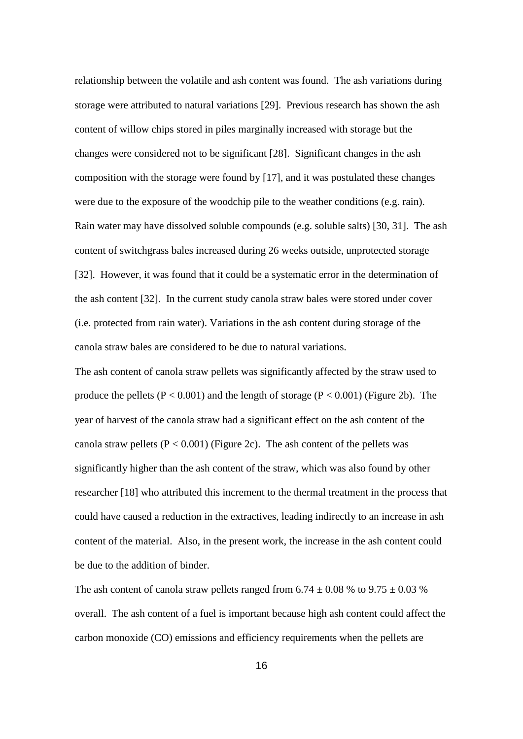relationship between the volatile and ash content was found. The ash variations during storage were attributed to natural variations [29]. Previous research has shown the ash content of willow chips stored in piles marginally increased with storage but the changes were considered not to be significant [28]. Significant changes in the ash composition with the storage were found by [17], and it was postulated these changes were due to the exposure of the woodchip pile to the weather conditions (e.g. rain). Rain water may have dissolved soluble compounds (e.g. soluble salts) [30, 31]. The ash content of switchgrass bales increased during 26 weeks outside, unprotected storage [32]. However, it was found that it could be a systematic error in the determination of the ash content [32]. In the current study canola straw bales were stored under cover (i.e. protected from rain water). Variations in the ash content during storage of the canola straw bales are considered to be due to natural variations.

The ash content of canola straw pellets was significantly affected by the straw used to produce the pellets ( $P < 0.001$ ) and the length of storage ( $P < 0.001$ ) (Figure 2b). The year of harvest of the canola straw had a significant effect on the ash content of the canola straw pellets  $(P < 0.001)$  (Figure 2c). The ash content of the pellets was significantly higher than the ash content of the straw, which was also found by other researcher [18] who attributed this increment to the thermal treatment in the process that could have caused a reduction in the extractives, leading indirectly to an increase in ash content of the material. Also, in the present work, the increase in the ash content could be due to the addition of binder.

The ash content of canola straw pellets ranged from  $6.74 \pm 0.08$  % to  $9.75 \pm 0.03$  % overall. The ash content of a fuel is important because high ash content could affect the carbon monoxide (CO) emissions and efficiency requirements when the pellets are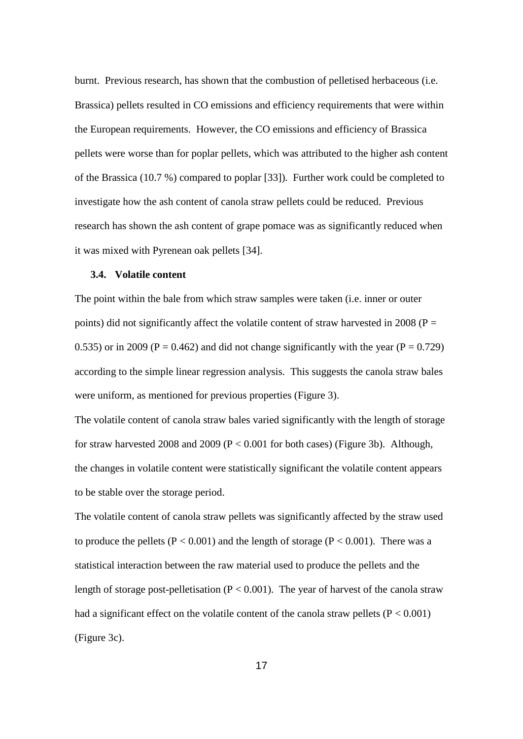burnt. Previous research, has shown that the combustion of pelletised herbaceous (i.e. Brassica) pellets resulted in CO emissions and efficiency requirements that were within the European requirements. However, the CO emissions and efficiency of Brassica pellets were worse than for poplar pellets, which was attributed to the higher ash content of the Brassica (10.7 %) compared to poplar [33]). Further work could be completed to investigate how the ash content of canola straw pellets could be reduced. Previous research has shown the ash content of grape pomace was as significantly reduced when it was mixed with Pyrenean oak pellets [34].

#### **3.4. Volatile content**

The point within the bale from which straw samples were taken (i.e. inner or outer points) did not significantly affect the volatile content of straw harvested in 2008 ( $P =$ 0.535) or in 2009 ( $P = 0.462$ ) and did not change significantly with the year ( $P = 0.729$ ) according to the simple linear regression analysis. This suggests the canola straw bales were uniform, as mentioned for previous properties (Figure 3).

The volatile content of canola straw bales varied significantly with the length of storage for straw harvested 2008 and 2009 ( $P < 0.001$  for both cases) (Figure 3b). Although, the changes in volatile content were statistically significant the volatile content appears to be stable over the storage period.

The volatile content of canola straw pellets was significantly affected by the straw used to produce the pellets ( $P < 0.001$ ) and the length of storage ( $P < 0.001$ ). There was a statistical interaction between the raw material used to produce the pellets and the length of storage post-pelletisation ( $P < 0.001$ ). The year of harvest of the canola straw had a significant effect on the volatile content of the canola straw pellets ( $P < 0.001$ ) (Figure 3c).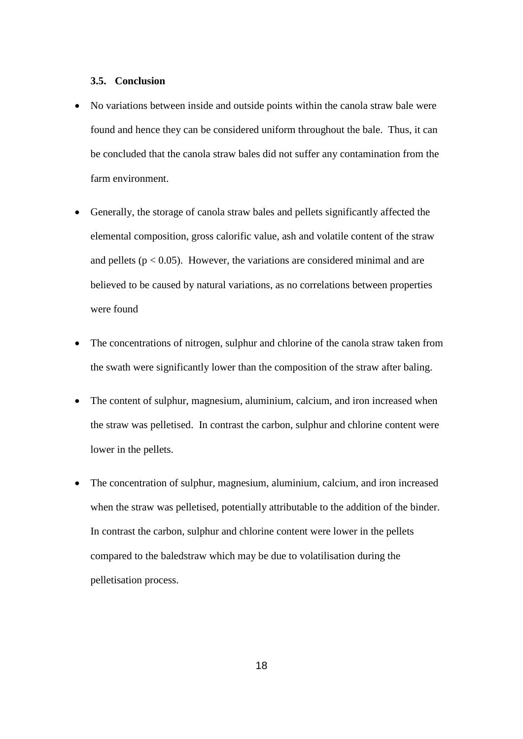#### **3.5. Conclusion**

- No variations between inside and outside points within the canola straw bale were found and hence they can be considered uniform throughout the bale. Thus, it can be concluded that the canola straw bales did not suffer any contamination from the farm environment.
- Generally, the storage of canola straw bales and pellets significantly affected the elemental composition, gross calorific value, ash and volatile content of the straw and pellets ( $p < 0.05$ ). However, the variations are considered minimal and are believed to be caused by natural variations, as no correlations between properties were found
- The concentrations of nitrogen, sulphur and chlorine of the canola straw taken from the swath were significantly lower than the composition of the straw after baling.
- The content of sulphur, magnesium, aluminium, calcium, and iron increased when the straw was pelletised. In contrast the carbon, sulphur and chlorine content were lower in the pellets.
- The concentration of sulphur, magnesium, aluminium, calcium, and iron increased when the straw was pelletised, potentially attributable to the addition of the binder. In contrast the carbon, sulphur and chlorine content were lower in the pellets compared to the baledstraw which may be due to volatilisation during the pelletisation process.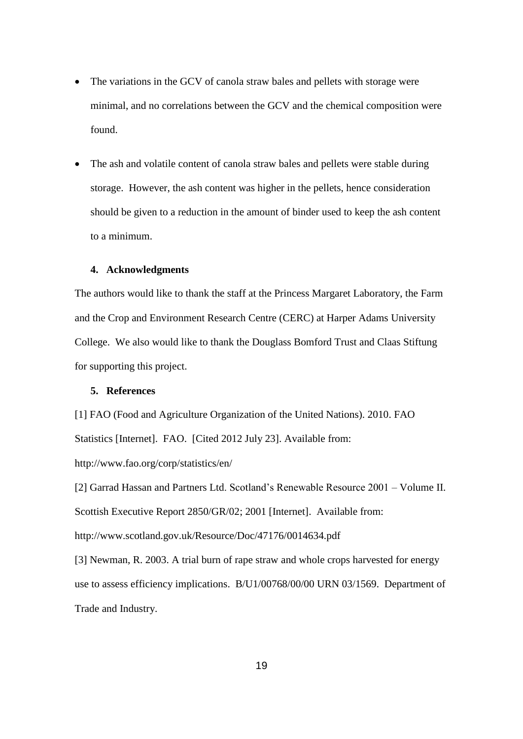- The variations in the GCV of canola straw bales and pellets with storage were minimal, and no correlations between the GCV and the chemical composition were found.
- The ash and volatile content of canola straw bales and pellets were stable during storage. However, the ash content was higher in the pellets, hence consideration should be given to a reduction in the amount of binder used to keep the ash content to a minimum.

#### **4. Acknowledgments**

The authors would like to thank the staff at the Princess Margaret Laboratory, the Farm and the Crop and Environment Research Centre (CERC) at Harper Adams University College. We also would like to thank the Douglass Bomford Trust and Claas Stiftung for supporting this project.

# **5. References**

[1] FAO (Food and Agriculture Organization of the United Nations). 2010. FAO Statistics [Internet]. FAO. [Cited 2012 July 23]. Available from: http://www.fao.org/corp/statistics/en/

[2] Garrad Hassan and Partners Ltd. Scotland's Renewable Resource 2001 – Volume II. Scottish Executive Report 2850/GR/02; 2001 [Internet]. Available from: http://www.scotland.gov.uk/Resource/Doc/47176/0014634.pdf

[3] Newman, R. 2003. A trial burn of rape straw and whole crops harvested for energy use to assess efficiency implications. B/U1/00768/00/00 URN 03/1569. Department of Trade and Industry.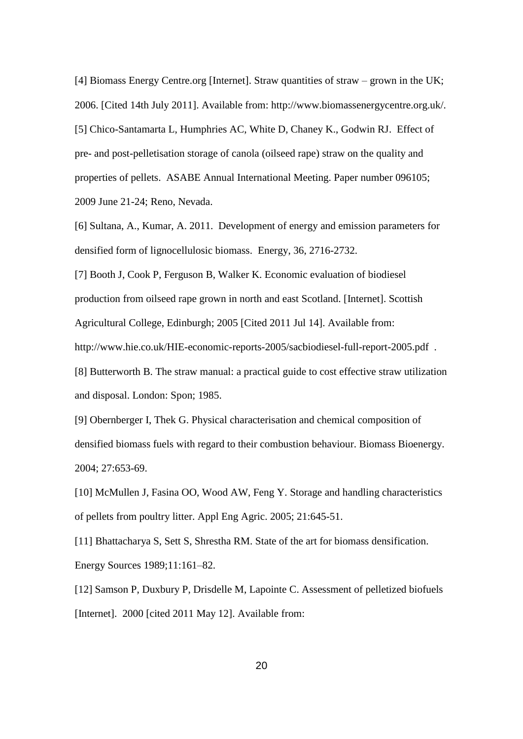[4] Biomass Energy Centre.org [Internet]. Straw quantities of straw – grown in the UK; 2006. [Cited 14th July 2011]. Available from: http://www.biomassenergycentre.org.uk/. [5] Chico-Santamarta L, Humphries AC, White D, Chaney K., Godwin RJ. Effect of pre- and post-pelletisation storage of canola (oilseed rape) straw on the quality and properties of pellets. ASABE Annual International Meeting. Paper number 096105; 2009 June 21-24; Reno, Nevada.

[6] Sultana, A., Kumar, A. 2011. Development of energy and emission parameters for densified form of lignocellulosic biomass. Energy, 36, 2716-2732.

[7] Booth J, Cook P, Ferguson B, Walker K. Economic evaluation of biodiesel production from oilseed rape grown in north and east Scotland. [Internet]. Scottish Agricultural College, Edinburgh; 2005 [Cited 2011 Jul 14]. Available from: http://www.hie.co.uk/HIE-economic-reports-2005/sacbiodiesel-full-report-2005.pdf . [8] Butterworth B. The straw manual: a practical guide to cost effective straw utilization

and disposal. London: Spon; 1985.

[9] Obernberger I, Thek G. Physical characterisation and chemical composition of densified biomass fuels with regard to their combustion behaviour. Biomass Bioenergy. 2004; 27:653-69.

[10] McMullen J, Fasina OO, Wood AW, Feng Y. Storage and handling characteristics of pellets from poultry litter. Appl Eng Agric. 2005; 21:645-51.

[11] Bhattacharya S, Sett S, Shrestha RM. State of the art for biomass densification. Energy Sources 1989;11:161–82.

[12] Samson P, Duxbury P, Drisdelle M, Lapointe C. Assessment of pelletized biofuels [Internet]. 2000 [cited 2011 May 12]. Available from: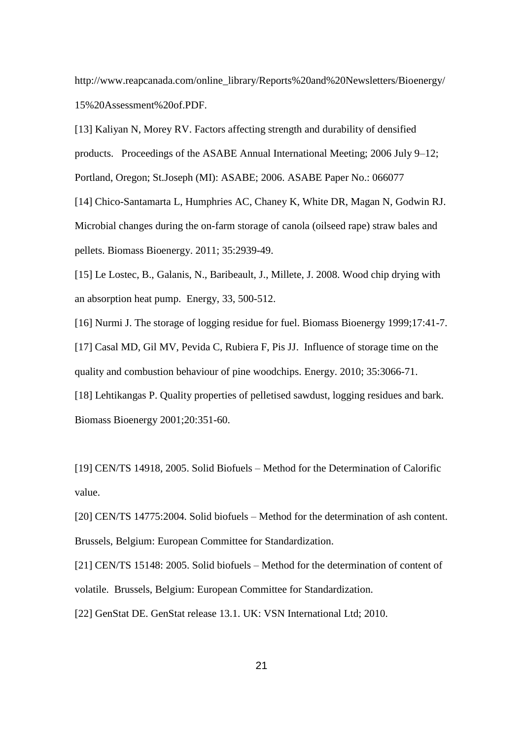http://www.reapcanada.com/online\_library/Reports%20and%20Newsletters/Bioenergy/ 15%20Assessment%20of.PDF.

[13] Kaliyan N, Morey RV. Factors affecting strength and durability of densified products. Proceedings of the ASABE Annual International Meeting; 2006 July 9–12; Portland, Oregon; St.Joseph (MI): ASABE; 2006. ASABE Paper No.: 066077

[14] Chico-Santamarta L, Humphries AC, Chaney K, White DR, Magan N, Godwin RJ. Microbial changes during the on-farm storage of canola (oilseed rape) straw bales and pellets. Biomass Bioenergy. 2011; 35:2939-49.

[15] Le Lostec, B., Galanis, N., Baribeault, J., Millete, J. 2008. Wood chip drying with an absorption heat pump. Energy, 33, 500-512.

[16] Nurmi J. The storage of logging residue for fuel. Biomass Bioenergy 1999;17:41-7. [17] Casal MD, Gil MV, Pevida C, Rubiera F, Pis JJ. Influence of storage time on the quality and combustion behaviour of pine woodchips. Energy. 2010; 35:3066-71. [18] Lehtikangas P. Quality properties of pelletised sawdust, logging residues and bark. Biomass Bioenergy 2001;20:351-60.

[19] CEN/TS 14918, 2005. Solid Biofuels – Method for the Determination of Calorific value.

[20] CEN/TS 14775:2004. Solid biofuels – Method for the determination of ash content. Brussels, Belgium: European Committee for Standardization.

[21] CEN/TS 15148: 2005. Solid biofuels – Method for the determination of content of volatile. Brussels, Belgium: European Committee for Standardization.

[22] GenStat DE. GenStat release 13.1. UK: VSN International Ltd; 2010.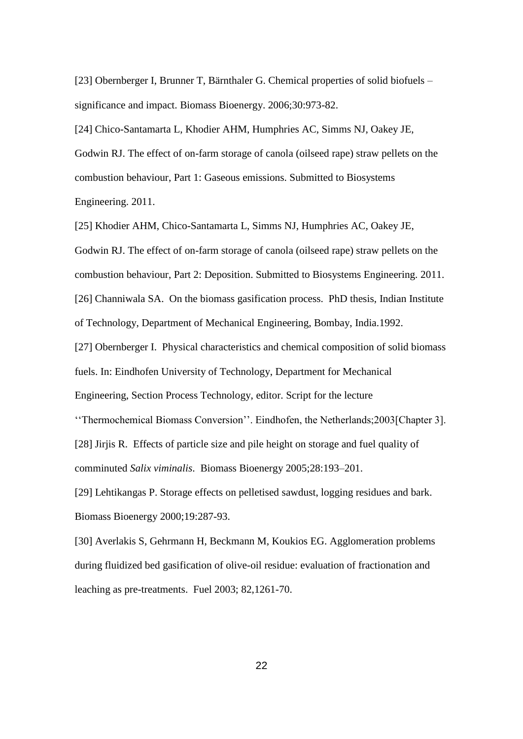[23] Obernberger I, Brunner T, Bärnthaler G. Chemical properties of solid biofuels – significance and impact. Biomass Bioenergy. 2006;30:973-82.

[24] Chico-Santamarta L, Khodier AHM, Humphries AC, Simms NJ, Oakey JE, Godwin RJ. The effect of on-farm storage of canola (oilseed rape) straw pellets on the combustion behaviour, Part 1: Gaseous emissions. Submitted to Biosystems Engineering. 2011.

[25] Khodier AHM, Chico-Santamarta L, Simms NJ, Humphries AC, Oakey JE, Godwin RJ. The effect of on-farm storage of canola (oilseed rape) straw pellets on the combustion behaviour, Part 2: Deposition. Submitted to Biosystems Engineering. 2011. [26] Channiwala SA. On the biomass gasification process. PhD thesis, Indian Institute of Technology, Department of Mechanical Engineering, Bombay, India.1992.

[27] Obernberger I. Physical characteristics and chemical composition of solid biomass fuels. In: Eindhofen University of Technology, Department for Mechanical

Engineering, Section Process Technology, editor. Script for the lecture

''Thermochemical Biomass Conversion''. Eindhofen, the Netherlands;2003[Chapter 3]. [28] Jirjis R. Effects of particle size and pile height on storage and fuel quality of comminuted *Salix viminalis*. Biomass Bioenergy 2005;28:193–201.

[29] Lehtikangas P. Storage effects on pelletised sawdust, logging residues and bark. Biomass Bioenergy 2000;19:287-93.

[30] Averlakis S, Gehrmann H, Beckmann M, Koukios EG. Agglomeration problems during fluidized bed gasification of olive-oil residue: evaluation of fractionation and leaching as pre-treatments. Fuel 2003; 82,1261-70.